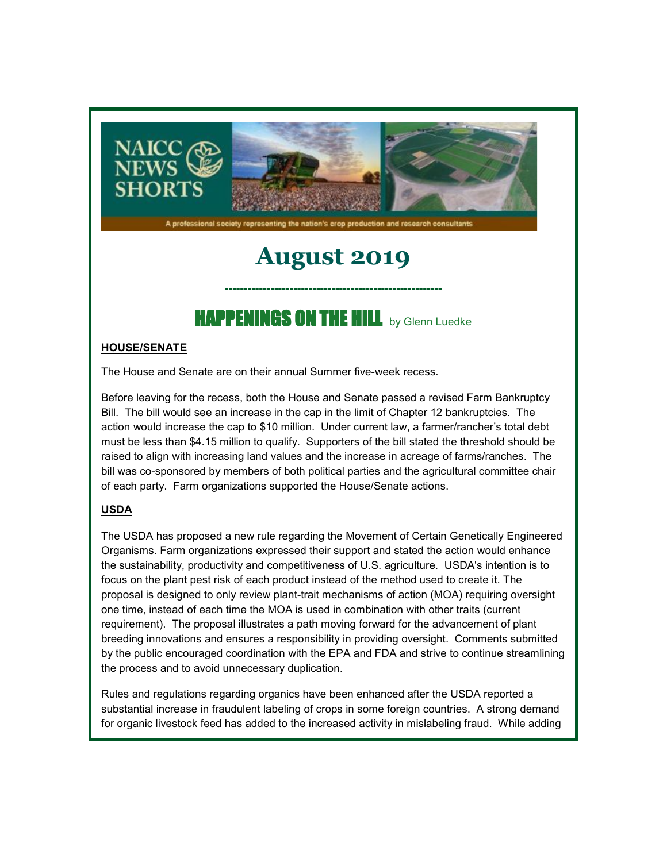

A professional society representing the nation's crop production and research consultants

# **August 2019**

## HAPPENINGS ON THE HILL by Glenn Luedke

**---------------------------------------------------------**

#### **HOUSE/SENATE**

The House and Senate are on their annual Summer five-week recess.

Before leaving for the recess, both the House and Senate passed a revised Farm Bankruptcy Bill. The bill would see an increase in the cap in the limit of Chapter 12 bankruptcies. The action would increase the cap to \$10 million. Under current law, a farmer/rancher's total debt must be less than \$4.15 million to qualify. Supporters of the bill stated the threshold should be raised to align with increasing land values and the increase in acreage of farms/ranches. The bill was co-sponsored by members of both political parties and the agricultural committee chair of each party. Farm organizations supported the House/Senate actions.

### **USDA**

The USDA has proposed a new rule regarding the Movement of Certain Genetically Engineered Organisms. Farm organizations expressed their support and stated the action would enhance the sustainability, productivity and competitiveness of U.S. agriculture. USDA's intention is to focus on the plant pest risk of each product instead of the method used to create it. The proposal is designed to only review plant-trait mechanisms of action (MOA) requiring oversight one time, instead of each time the MOA is used in combination with other traits (current requirement). The proposal illustrates a path moving forward for the advancement of plant breeding innovations and ensures a responsibility in providing oversight. Comments submitted by the public encouraged coordination with the EPA and FDA and strive to continue streamlining the process and to avoid unnecessary duplication.

Rules and regulations regarding organics have been enhanced after the USDA reported a substantial increase in fraudulent labeling of crops in some foreign countries. A strong demand for organic livestock feed has added to the increased activity in mislabeling fraud. While adding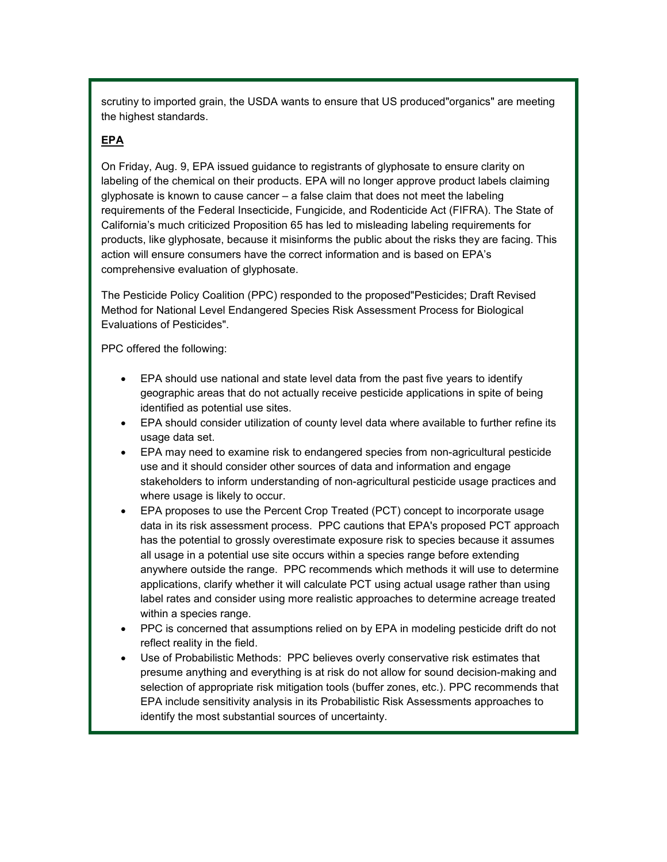scrutiny to imported grain, the USDA wants to ensure that US produced"organics" are meeting the highest standards.

#### **EPA**

On Friday, Aug. 9, EPA issued guidance to registrants of glyphosate to ensure clarity on labeling of the chemical on their products. EPA will no longer approve product labels claiming glyphosate is known to cause cancer – a false claim that does not meet the labeling requirements of the Federal Insecticide, Fungicide, and Rodenticide Act (FIFRA). The State of California's much criticized Proposition 65 has led to misleading labeling requirements for products, like glyphosate, because it misinforms the public about the risks they are facing. This action will ensure consumers have the correct information and is based on EPA's comprehensive evaluation of glyphosate.

The Pesticide Policy Coalition (PPC) responded to the proposed"Pesticides; Draft Revised Method for National Level Endangered Species Risk Assessment Process for Biological Evaluations of Pesticides".

PPC offered the following:

- EPA should use national and state level data from the past five years to identify geographic areas that do not actually receive pesticide applications in spite of being identified as potential use sites.
- EPA should consider utilization of county level data where available to further refine its usage data set.
- EPA may need to examine risk to endangered species from non-agricultural pesticide use and it should consider other sources of data and information and engage stakeholders to inform understanding of non-agricultural pesticide usage practices and where usage is likely to occur.
- EPA proposes to use the Percent Crop Treated (PCT) concept to incorporate usage data in its risk assessment process. PPC cautions that EPA's proposed PCT approach has the potential to grossly overestimate exposure risk to species because it assumes all usage in a potential use site occurs within a species range before extending anywhere outside the range. PPC recommends which methods it will use to determine applications, clarify whether it will calculate PCT using actual usage rather than using label rates and consider using more realistic approaches to determine acreage treated within a species range.
- PPC is concerned that assumptions relied on by EPA in modeling pesticide drift do not reflect reality in the field.
- Use of Probabilistic Methods: PPC believes overly conservative risk estimates that presume anything and everything is at risk do not allow for sound decision-making and selection of appropriate risk mitigation tools (buffer zones, etc.). PPC recommends that EPA include sensitivity analysis in its Probabilistic Risk Assessments approaches to identify the most substantial sources of uncertainty.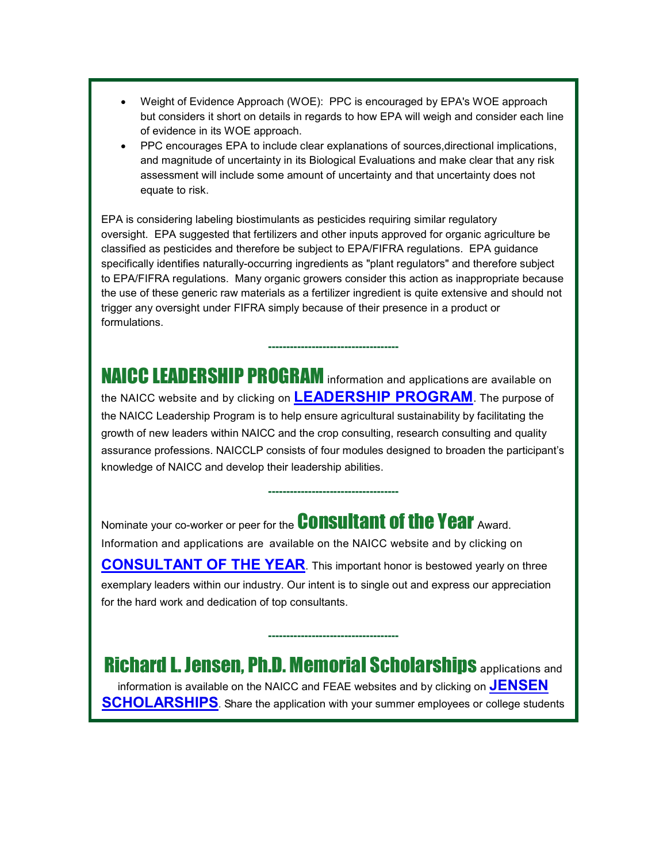- Weight of Evidence Approach (WOE): PPC is encouraged by EPA's WOE approach but considers it short on details in regards to how EPA will weigh and consider each line of evidence in its WOE approach.
- PPC encourages EPA to include clear explanations of sources,directional implications, and magnitude of uncertainty in its Biological Evaluations and make clear that any risk assessment will include some amount of uncertainty and that uncertainty does not equate to risk.

EPA is considering labeling biostimulants as pesticides requiring similar regulatory oversight. EPA suggested that fertilizers and other inputs approved for organic agriculture be classified as pesticides and therefore be subject to EPA/FIFRA regulations. EPA guidance specifically identifies naturally-occurring ingredients as "plant regulators" and therefore subject to EPA/FIFRA regulations. Many organic growers consider this action as inappropriate because the use of these generic raw materials as a fertilizer ingredient is quite extensive and should not trigger any oversight under FIFRA simply because of their presence in a product or formulations.

NAICC LEADERSHIP PROGRAM information and applications are available on the NAICC website and by clicking on **[LEADERSHIP PROGRAM](https://naicc.wildapricot.org/EmailTracker/LinkTracker.ashx?linkAndRecipientCode=8I5g0RFbdPt1rvS3wJqQpRdhoRWVPO89LhP3LoKneDAEQsG5RJ%2fL4eWu0e0hXPRsJ1RlDrbNNEOGFBVTSeQ%2faH5ULY0rdGldQrj56VblclE%3d)**. The purpose of the NAICC Leadership Program is to help ensure agricultural sustainability by facilitating the growth of new leaders within NAICC and the crop consulting, research consulting and quality assurance professions. NAICCLP consists of four modules designed to broaden the participant's knowledge of NAICC and develop their leadership abilities.

**------------------------------------**

**------------------------------------**

Nominate your co-worker or peer for the **Consultant of the Year** Award. Information and applications are available on the NAICC website and by clicking on **[CONSULTANT OF THE YEAR](https://naicc.wildapricot.org/EmailTracker/LinkTracker.ashx?linkAndRecipientCode=rgZMImHEvWn2v%2btz7exuH%2bCjKCsQlRkkF9sJPYaRjYPhcafPjdsMlr%2fHXR5Rgcbq4MNRrKQkCHtlLHIaCnk4XfNri%2biUaIuN8lzNurgJqbQ%3d)**. This important honor is bestowed yearly on three exemplary leaders within our industry. Our intent is to single out and express our appreciation for the hard work and dedication of top consultants.

Richard L. Jensen, Ph.D. Memorial Scholarships applications and information is available on the NAICC and FEAE websites and by clicking on **[JENSEN](https://naicc.wildapricot.org/EmailTracker/LinkTracker.ashx?linkAndRecipientCode=pYKCjNvxoD30va01PAW9qSmd0Uk84dot01JnGIzNCqMsnyOby%2bYQBv9DPZ%2fhmYHuuSQQ8%2fjEyn8ZWmxAELAIOFyI4HoMTiVjAmfpSfMRyK8%3d)  [SCHOLARSHIPS](https://naicc.wildapricot.org/EmailTracker/LinkTracker.ashx?linkAndRecipientCode=pYKCjNvxoD30va01PAW9qSmd0Uk84dot01JnGIzNCqMsnyOby%2bYQBv9DPZ%2fhmYHuuSQQ8%2fjEyn8ZWmxAELAIOFyI4HoMTiVjAmfpSfMRyK8%3d)**. Share the application with your summer employees or college students

**------------------------------------**